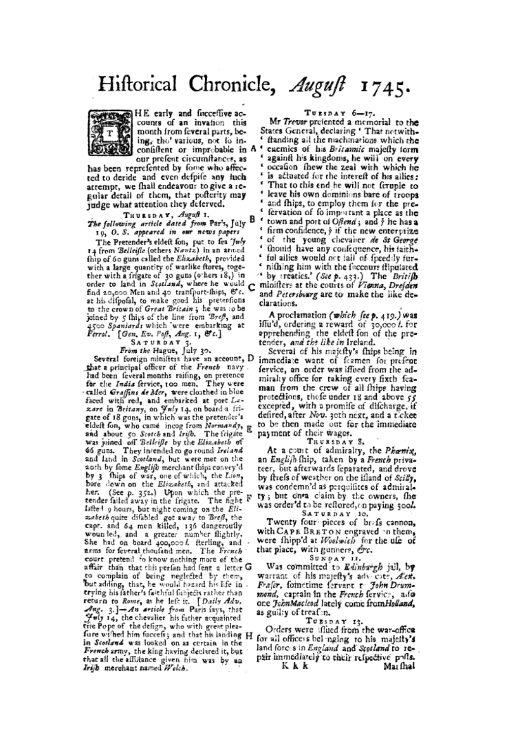# Hiftorical Chronicle, August 1745.



HE early and facceffive ac-<br>counts of an invation this month from feveral parts, being, the various, not to inconfiftent or improbable in A \* our prefent circumftances, as

has been reprefented by fome who affected to deride and even defpife any fuch attempt, we fhall endeavour to give a regular detail of them, that pofterity may judge what attention they deferved.

#### THURSDAY, August 1.

#### The following article dated from Par's, July 19, O. S. appeared in our news papers

The Pretender's eldeft fon, put to fea 'fuly 14 from Belleifle (others Nantz) in an armed thip of 60 guns called the Elizabeth, provided with a large quantity of warlike ftores, together with a frigate of 30 guns (o'hers 18,) in<br>order to land in Scotland, where he would find 20,000 Men and 40 transport-thips, &c. at his difpofal, to make good his pretentions to the crown of Great Britain; he was to be joined by 5 thips of the line from Breft, and 4500 Spaniards which 'were embarking at<br>Ferral. [Gen. Ev. Poft, Ang. 1, &c.]

SATURDAY 3 From the Hague, July 30.

Several foreign minifiers have an account, D that a principal officer of the French navy had been feveral months raifing, on pretence<br>for the India fervice, 100 men. They were called Graffins de Mer, were cloathed in blue faced with red, and embarked at port Lazare in Britany, on July 14, on board a frigate of 18 guns, in which was the pretender's eldeft fon, who came incog from Normandy, E and about 50 Scotch and Irifb. The frigate<br>was joined off Belleifle by the Elizabeth of 66 guns. They intended to go round Ireland and land in Scotland, but were met on the 20th by fome Englift merchant thip: convey'd by 3 thips of war, one of which, the Lion, bore down on the Elizabeth, and attacked her. (See p. 352.) Upon which the pre-<br>tender failed away in the frigate. The fight F lafted 9 hours, but night coming on the Elizaheth quite difabled got away to Breft, the capt. and 64 men killed, 136 dangeroufly wounded, and a greater number flightly. She had on board 400,000 l. fterling, and arms for feveral thoufand men. The French court pretend fo know nothing more of the affair than that this perfon had fent a letter G to complain of being neglected by them, but adding, that, he would hazard his life in trying his father's faithful fubjects rather than return to Rome, as he left it. [Daily Adv. Suly 14, the chevalier his father acquainted the Pope of the defign, who with great plea-<br>fore withed him fuccefs; and that his landing H in Scotland was looked on as certain in the French army, the king having declared it, but that all the affitance given him was by an Irsjb merchant named Welch.

#### $T$ UESDAY  $6-17$ .

Mr Trever prefented a memorial to the States General, declaring ' That notwithfranding all the machinations which the enemies of his Britannic majefly form againft his kingdoms, he will on every occation thew the zeal with which he is actuated for the intereft of his allies: ' That to this end he will not feruple to  $\epsilon$ leave his own dominions bare of troops and fhips, to employ them for the prefervation of fo important a place as the town and port of Oflend; and y he has a firm confidence,  $\frac{1}{2}$  if the new enterprize ¢ of the young chevaker de St George  $\epsilon$ thould have any confequence, his faithful allies would not fail of freed ly furnifhing him with the faccours flipulated. by treaties.' (See p. 433.) The British

minifters at the courts of Vienna, Drefden and Petersbourg are to make the like declarations.

A proclamation (which fee  $p$ , 419.) was<br>iffu'd, ordering a reward of 30,000 *l*. for<br>apprehending the eldeft fon of the pretender, and the like in Ireland.

Several of his majefly's fhips being in immediate want of framen for prefent fervice, an order was iffued from the admiralty office for taking every fixth feaman from the crew of all fhips having protections, those under 18 and above 55 excepted, with a promife of difcharge, if defired, after Nov. 30th next, and a ticket to be then made out for the immediate payment of their wages.

TRURSDAY S.

At a coust of admiralty, the Pharmx, an English (hip, taken by a French privateer, but afterwards feparated, and drove by friefs of weather on the ifland of Scilly, was condemn'd as perquifites of admiralty; but on a claim by the owners, fhe was order'd to be reflored, on paying 3004.

SATURDAY 10.

Twenty four pieces of brafs cannon, with CAPE BRETON engraved on them, were thipp'd at Woolsnich for the ufe of that place, with gunners, Oc.

SUNDAY 11.

Was committed to *Edinburgh* jail, by warrant of his majefly's adv cate, Aex. Frafer, fometime fervant to John Drum-<br>mond, captain in the French fervice, alo one JohnMacleod lately come fromHolland, as guilty of treafin.

Turspay 13.

Orders were iffued from the war-office for all officers belinging to his majetty's land forces in England and Scotland to repair immediately to their refpective polls. Mai fhal Kkk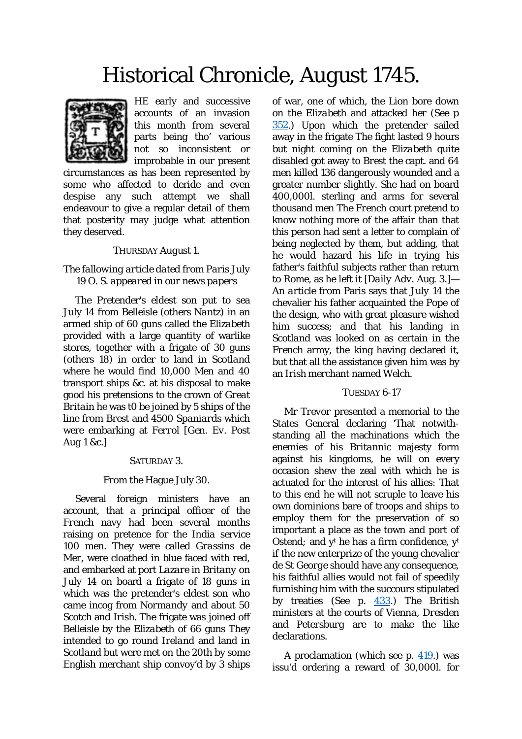# Historical Chronicle, *August* 1745.



HE early and successive accounts of an invasion this month from several parts being tho' various not so inconsistent or improbable in our present

circumstances as has been represented by some who affected to deride and even despise any such attempt we shall endeavour to give a regular detail of them that posterity may judge what attention they deserved.

### THURSDAY *August* 1.

# *The fallowing article dated from Paris* July 19 O. S. *appeared in our news papers*

The Pretender's eldest son put to sea July 14 from *Belleisle* (others *Nantz*) in an armed ship of 60 guns called the *Elizabeth* provided with a large quantity of warlike stores, together with a frigate of 30 guns (others 18) in order to land in *Scotland* where he would find 10,000 Men and 40 transport ships &c. at his disposal to make good his pretensions to the crown of *Great Britain* he was t0 be joined by 5 ships of the line from *Brest* and 4500 *Spaniards* which were embarking at *Ferrol* [*Gen. Ev. Post Aug* 1 &c.]

# SATURDAY 3.

# *From the* Hague July 30.

Several foreign ministers have an account, that a principal officer of the *French* navy had been several months raising on pretence for the *India* service 100 men. They were called *Grassins de Mer,* were cloathed in blue faced with red, and embarked at port *Lazare* in *Britany* on *July* 14 on board a frigate of 18 guns in which was the pretender's eldest son who came incog from *Normandy* and about 50 *Scotch* and *Irish*. The frigate was joined off *Belleisle* by the *Elizabeth* of 66 guns They intended to go round *Ireland* and land in *Scotland* but were met on the 20th by some English merchant ship convoy'd by 3 ships

of war, one of which, the *Lion* bore down on the *Elizabeth* and attacked her (See p [352.](http://books.google.com/books?id=f2YdAQAAMAAJ&dq=brest%20ship%20elizabeth%201745&pg=PA352#v=onepage&q=brest%20ship%20elizabeth%201745&f=false)) Upon which the pretender sailed away in the frigate The fight lasted 9 hours but night coming on the *Elizabeth* quite disabled got away to *Brest* the capt. and 64 men killed 136 dangerously wounded and a greater number slightly. She had on board 400,000*l.* sterling and arms for several thousand men The *French* court pretend to know nothing more of the affair than that this person had sent a letter to complain of being neglected by them, but adding, that he would hazard his life in trying his father's faithful subjects rather than return to *Rome,* as he left it [*Daily Adv. A*ug. 3.]— *An article from* Paris says that *July* 14 the chevalier his father acquainted the Pope of the design, who with great pleasure wished him success; and that his landing in *Scotland* was looked on as certain in the *French* army, the king having declared it, but that all the assistance given him was by an *Irish* merchant named *Welch.*

# TUESDAY 6-17

Mr *Trevor* presented a memorial to the States General declaring 'That notwithstanding all the machinations which the enemies of his *Britannic* majesty form against his kingdoms, he will on every occasion shew the zeal with which he is actuated for the interest of his allies: That to this end he will not scruple to leave his own dominions bare of troops and ships to employ them for the preservation of so important a place as the town and port of *Ostend;* and y<sup>t</sup> he has a firm confidence, y<sup>t</sup> if the new enterprize of the young chevalier *de St George* should have any consequence, his faithful allies would not fail of speedily furnishing him with the succours stipulated by treaties (See p. [433.](http://books.google.com/books?id=f2YdAQAAMAAJ&dq=brest%20ship%20elizabeth%201745&pg=PA433#v=onepage&q=brest%20ship%20elizabeth%201745&f=false)) The *British* ministers at the courts of *Vienna, Dresden* and *Petersburg* are to make the like declarations.

A proclamation (*which see p*. [419.](http://books.google.com/books?id=f2YdAQAAMAAJ&dq=brest%20ship%20elizabeth%201745&pg=PA419#v=onepage&q=brest%20ship%20elizabeth%201745&f=false)) was issu'd ordering a reward of 30,000*l.* for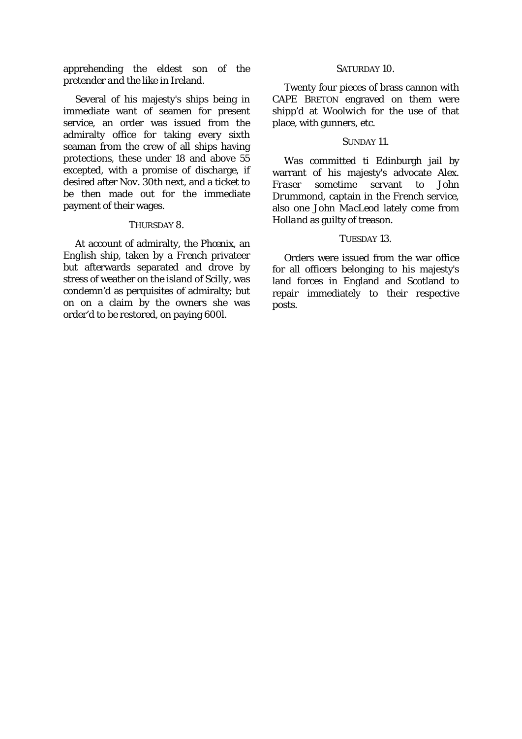apprehending the eldest son of the pretender *and the like in* Ireland.

Several of his majesty's ships being in immediate want of seamen for present service, an order was issued from the admiralty office for taking every sixth seaman from the crew of all ships having protections, these under 18 and above 55 excepted, with a promise of discharge, if desired after *Nov.* 30th next, and a ticket to be then made out for the immediate payment of their wages.

#### THURSDAY 8.

At account of admiralty, the *Phœnix*, an *English* ship, taken by a *French* privateer but afterwards separated and drove by stress of weather on the island of *Scilly*, was condemn'd as perquisites of admiralty; but on on a claim by the owners she was order'd to be restored, on paying 600*l.*

#### SATURDAY 10.

Twenty four pieces of brass cannon with CAPE BRETON engraved on them were shipp'd at *Woolwich* for the use of that place, with gunners, etc.

### SUNDAY 11.

Was committed ti Edinburgh jail by warrant of his majesty's advocate *Alex.*<br>Fraser sometime servant to John *Fraser* sometime servant to J*ohn Drummond,* captain in the *French* service, also one *John MacLeod* lately come from *Holland* as guilty of treason.

# TUESDAY 13.

Orders were issued from the war office for all officers belonging to his majesty's land forces in England and Scotland to repair immediately to their respective posts.